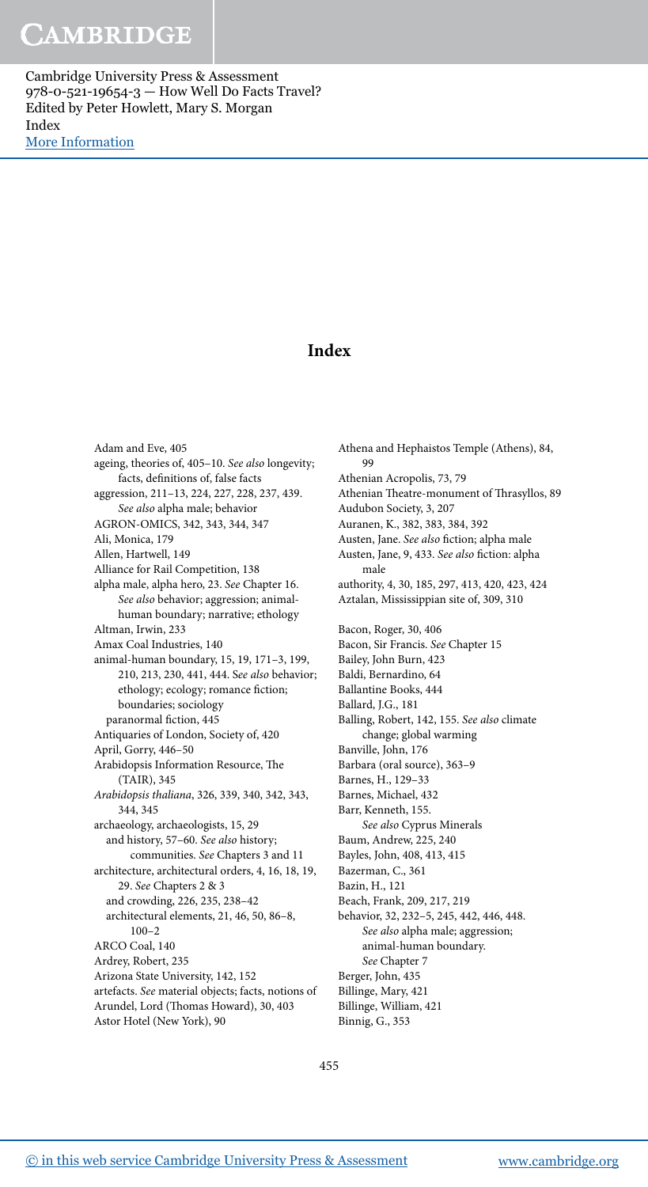## **Index**

 Adam and Eve, 405 ageing, theories of, 405-10. See also longevity; facts, definitions of, false facts aggression, 211-13, 224, 227, 228, 237, 439. See also alpha male; behavior AGRON-OMICS, 342, 343, 344, 347 Ali, Monica, 179 Allen, Hartwell, 149 Alliance for Rail Competition, 138 alpha male, alpha hero, 23 . See Chapter 16. See also behavior; aggression; animalhuman boundary; narrative; ethology Altman, Irwin, 233 Amax Coal Industries, 140 animal-human boundary, 15, 19, 171-3, 199, 210, 213, 230, 441, 444. See also behavior; ethology; ecology; romance fiction; boundaries; sociology paranormal fiction, 445 Antiquaries of London, Society of, 420 April, Gorry, 446–50 Arabidopsis Information Resource, The (TAIR), 345 Arabidopsis thaliana, 326, 339, 340, 342, 343, 344 , 345 archaeology, archaeologists, 15, 29 and history, 57-60. See also history; communities. See Chapters 3 and 11 architecture, architectural orders, 4, 16, 18, 19, 29 . See Chapters 2 & 3 and crowding, 226 , 235 , 238–42 architectural elements, 21, 46, 50, 86-8, 100–2 ARCO Coal, 140 Ardrey, Robert, 235 Arizona State University, 142, 152 artefacts. See material objects; facts, notions of Arundel, Lord (Thomas Howard), 30, 403 Astor Hotel (New York), 90

 Athena and Hephaistos Temple (Athens), 84 , 99 Athenian Acropolis, 73, 79 Athenian Theatre-monument of Thrasyllos, 89 Audubon Society, 3, 207 Auranen, K., 382, 383, 384, 392 Austen, Jane. See also fiction; alpha male Austen, Jane, 9, 433. See also fiction: alpha male authority, 4, 30, 185, 297, 413, 420, 423, 424 Aztalan, Mississippian site of, 309, 310 Bacon, Roger, 30, 406 Bacon, Sir Francis. See Chapter 15 Bailey, John Burn, 423 Baldi, Bernardino, 64 Ballantine Books, 444 Ballard, J.G., 181 Balling, Robert, 142, 155. See also climate change; global warming Banville, John, 176 Barbara (oral source), 363–9 Barnes, H., 129–33 Barnes, Michael, 432 Barr, Kenneth, 155. See also Cyprus Minerals Baum, Andrew, 225, 240 Bayles, John, 408 , 413 , 415 Bazerman, C., 361 Bazin, H., 121 Beach, Frank, 209, 217, 219 behavior, 32, 232-5, 245, 442, 446, 448. See also alpha male; aggression; animal-human boundary. See Chapter 7 Berger, John, 435 Billinge, Mary, 421 Billinge, William, 421 Binnig, G., 353

455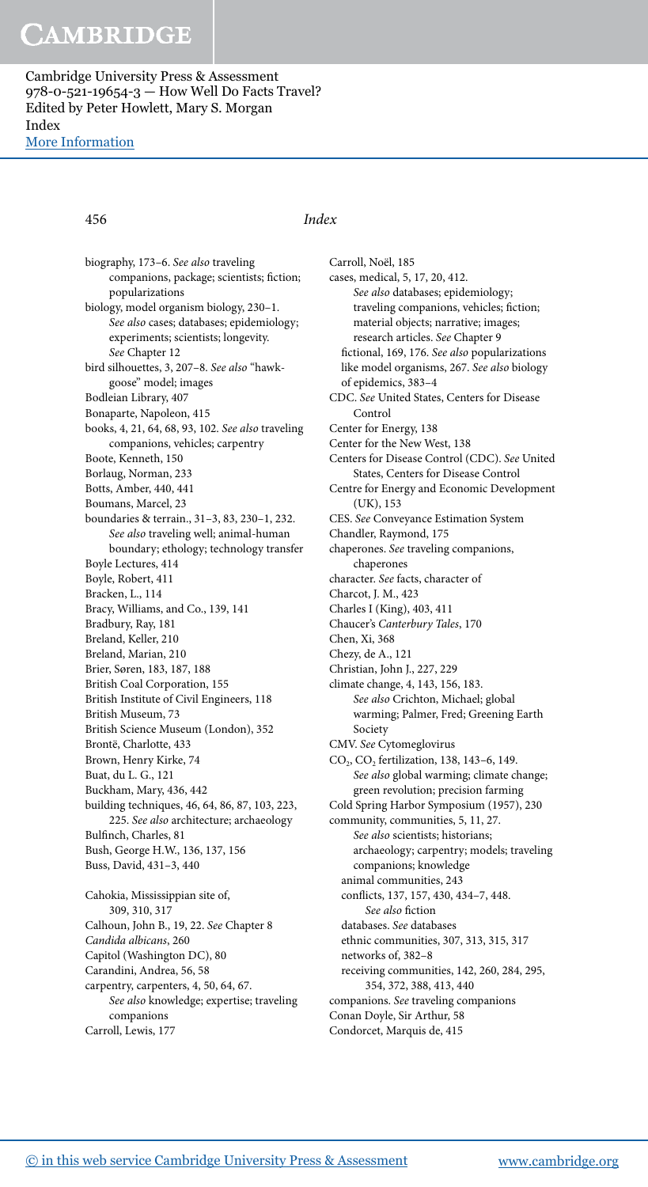#### 456 Index

biography, 173-6. See also traveling companions, package; scientists; fiction; popularizations biology, model organism biology, 230-1. See also cases; databases; epidemiology; experiments; scientists; longevity. See Chapter 12 bird silhouettes, 3, 207-8. See also "hawkgoose" model; images Bodleian Library, 407 Bonaparte, Napoleon, 415 books, 4, 21, 64, 68, 93, 102. See also traveling companions, vehicles; carpentry Boote, Kenneth, 150 Borlaug, Norman, 233 Botts, Amber, 440, 441 Boumans, Marcel, 23 boundaries & terrain. , 31–3 , 83 , 230–1 , 232. See also traveling well; animal-human boundary; ethology; technology transfer Boyle Lectures, 414 Boyle, Robert, 411 Bracken, L., 114 Bracy, Williams, and Co., 139, 141 Bradbury, Ray, 181 Breland, Keller, 210 Breland, Marian, 210 Brier, Søren, 183 , 187 , 188 British Coal Corporation, 155 British Institute of Civil Engineers, 118 British Museum, 73 British Science Museum (London), 352 Brontë, Charlotte, 433 Brown, Henry Kirke, 74 Buat, du L. G., 121 Buckham, Mary, 436, 442 building techniques, 46, 64, 86, 87, 103, 223, 225. See also architecture; archaeology Bulfinch, Charles, 81 Bush, George H.W., 136, 137, 156 Buss, David, 431-3, 440 Cahokia, Mississippian site of, 309 , 310 , 317 Calhoun, John B., 19, 22. See Chapter 8 Candida albicans, 260 Capitol (Washington DC), 80 Carandini, Andrea, 56, 58 carpentry, carpenters, 4, 50, 64, 67. See also knowledge; expertise; traveling companions Carroll, Lewis, 177

 Carroll, Noël, 185 cases, medical, 5, 17, 20, 412. See also databases; epidemiology; traveling companions, vehicles; fiction; material objects; narrative; images; research articles. See Chapter 9 fictional, 169, 176. See also popularizations like model organisms, 267 . See also biology of epidemics, 383–4 CDC. See United States, Centers for Disease Control Center for Energy, 138 Center for the New West, 138 Centers for Disease Control (CDC). See United States, Centers for Disease Control Centre for Energy and Economic Development (UK), 153 CES. See Conveyance Estimation System Chandler, Raymond, 175 chaperones. See traveling companions, chaperones character. See facts, character of Charcot, J. M., 423 Charles I (King), 403 , 411 Chaucer's Canterbury Tales, 170 Chen, Xi, 368 Chezy, de A., 121 Christian, John J., 227, 229 climate change, 4, 143, 156, 183. See also Crichton, Michael; global warming; Palmer, Fred; Greening Earth Society CMV. See Cytomeglovirus  $CO_2$ ,  $CO_2$  fertilization, 138, 143–6, 149. See also global warming; climate change; green revolution; precision farming Cold Spring Harbor Symposium (1957), 230 community, communities, 5, 11, 27. See also scientists; historians; archaeology; carpentry; models; traveling companions; knowledge animal communities, 243 conflicts, 137, 157, 430, 434-7, 448. See also fiction databases. See databases ethnic communities, 307 , 313 , 315 , 317 networks of, 382–8 receiving communities, 142, 260, 284, 295, 354 , 372 , 388 , 413 , 440 companions. See traveling companions Conan Doyle, Sir Arthur, 58 Condorcet, Marquis de, 415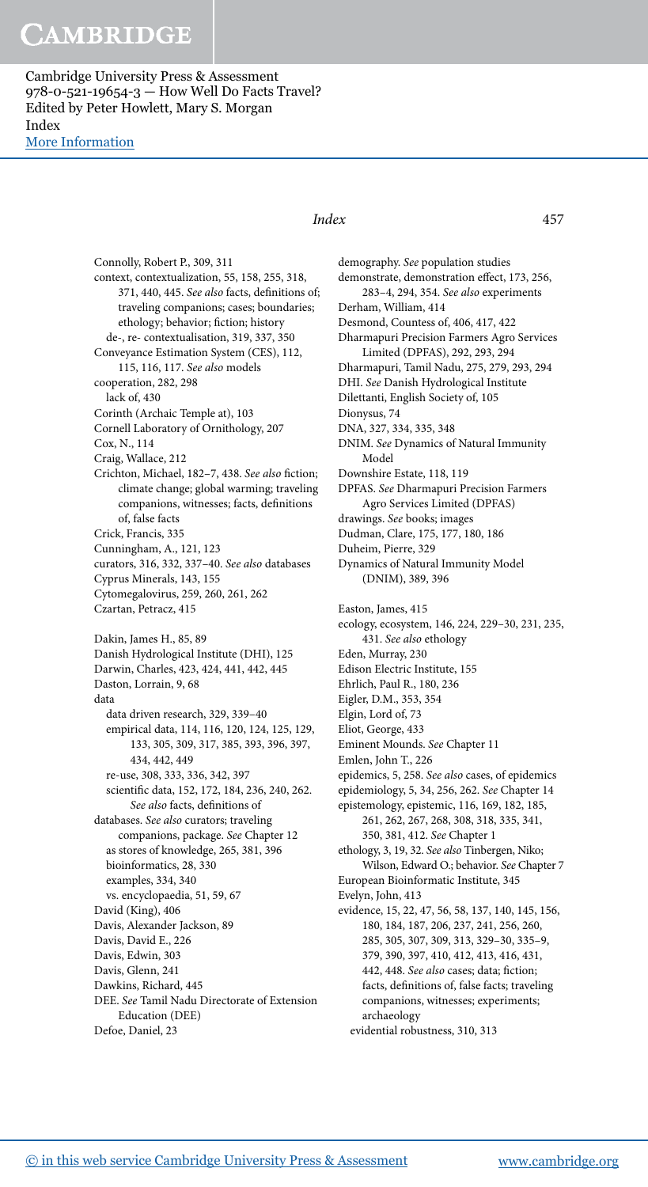Cambridge University Press & Assessment 978-0-521-19654-3 — How Well Do Facts Travel? Edited by Peter Howlett, Mary S. Morgan Index [More Information](www.cambridge.org/9780521196543)

### Index 457

 Connolly, Robert P., 309 , 311 context, contextualization, 55, 158, 255, 318, 371, 440, 445. See also facts, definitions of; traveling companions; cases; boundaries; ethology; behavior; fiction; history de-, re- contextualisation, 319, 337, 350 Conveyance Estimation System (CES), 112, 115, 116, 117. See also models cooperation, 282, 298 lack of, 430 Corinth (Archaic Temple at), 103 Cornell Laboratory of Ornithology, 207 Cox, N., 114 Craig, Wallace, 212 Crichton, Michael, 182-7, 438. See also fiction; climate change; global warming; traveling companions, witnesses; facts, definitions of, false facts Crick, Francis, 335 Cunningham, A., 121, 123 curators, 316 , 332 , 337–40 . See also databases Cyprus Minerals, 143, 155 Cytomegalovirus, 259, 260, 261, 262 Czartan, Petracz, 415 Dakin, James H., 85, 89 Danish Hydrological Institute (DHI), 125 Darwin, Charles, 423 , 424 , 441 , 442 , 445 Daston, Lorrain, 9, 68 data data driven research, 329 , 339–40 empirical data, 114, 116, 120, 124, 125, 129, 133 , 305 , 309 , 317 , 385 , 393 , 396 , 397 , 434 , 442 , 449 re-use, 308 , 333 , 336 , 342 , 397 scientific data, 152, 172, 184, 236, 240, 262. See also facts, definitions of databases. See also curators; traveling companions, package. See Chapter 12 as stores of knowledge, 265 , 381 , 396 bioinformatics, 28, 330 examples, 334, 340 vs. encyclopaedia, 51, 59, 67 David (King), 406 Davis, Alexander Jackson, 89 Davis, David E., 226 Davis, Edwin, 303 Davis, Glenn, 241 Dawkins, Richard, 445 DEE. See Tamil Nadu Directorate of Extension Education (DEE) Defoe, Daniel, 23

 demography. See population studies demonstrate, demonstration effect, 173, 256, 283-4, 294, 354. See also experiments Derham, William, 414 Desmond, Countess of, 406 , 417 , 422 Dharmapuri Precision Farmers Agro Services Limited (DPFAS), 292, 293, 294 Dharmapuri, Tamil Nadu, 275 , 279 , 293 , 294 DHI. See Danish Hydrological Institute Dilettanti, English Society of, 105 Dionysus, 74 DNA, 327, 334, 335, 348 DNIM. See Dynamics of Natural Immunity Model Downshire Estate, 118, 119 DPFAS. See Dharmapuri Precision Farmers Agro Services Limited (DPFAS) drawings. See books; images Dudman, Clare, 175, 177, 180, 186 Duheim, Pierre, 329 Dynamics of Natural Immunity Model (DNIM), 389, 396 Easton, James, 415 ecology, ecosystem, 146, 224, 229-30, 231, 235, 431. See also ethology Eden, Murray, 230 Edison Electric Institute, 155 Ehrlich, Paul R., 180, 236 Eigler, D.M., 353, 354 Elgin, Lord of, 73 Eliot, George, 433 Eminent Mounds. See Chapter 11 Emlen, John T., 226 epidemics, 5, 258. See also cases, of epidemics epidemiology, 5, 34, 256, 262. See Chapter 14 epistemology, epistemic, 116, 169, 182, 185, 261 , 262 , 267 , 268 , 308 , 318 , 335 , 341 , 350 , 381 , 412 . See Chapter 1 ethology, 3, 19, 32. See also Tinbergen, Niko; Wilson, Edward O.; behavior. See Chapter 7 European Bioinformatic Institute, 345 Evelyn, John, 413 evidence, 15, 22, 47, 56, 58, 137, 140, 145, 156, 180, 184, 187, 206, 237, 241, 256, 260, 285 , 305 , 307 , 309 , 313 , 329–30 , 335–9 , 379 , 390 , 397 , 410 , 412 , 413 , 416 , 431 , 442, 448. See also cases; data; fiction; facts, definitions of, false facts; traveling companions, witnesses; experiments; archaeology evidential robustness, 310, 313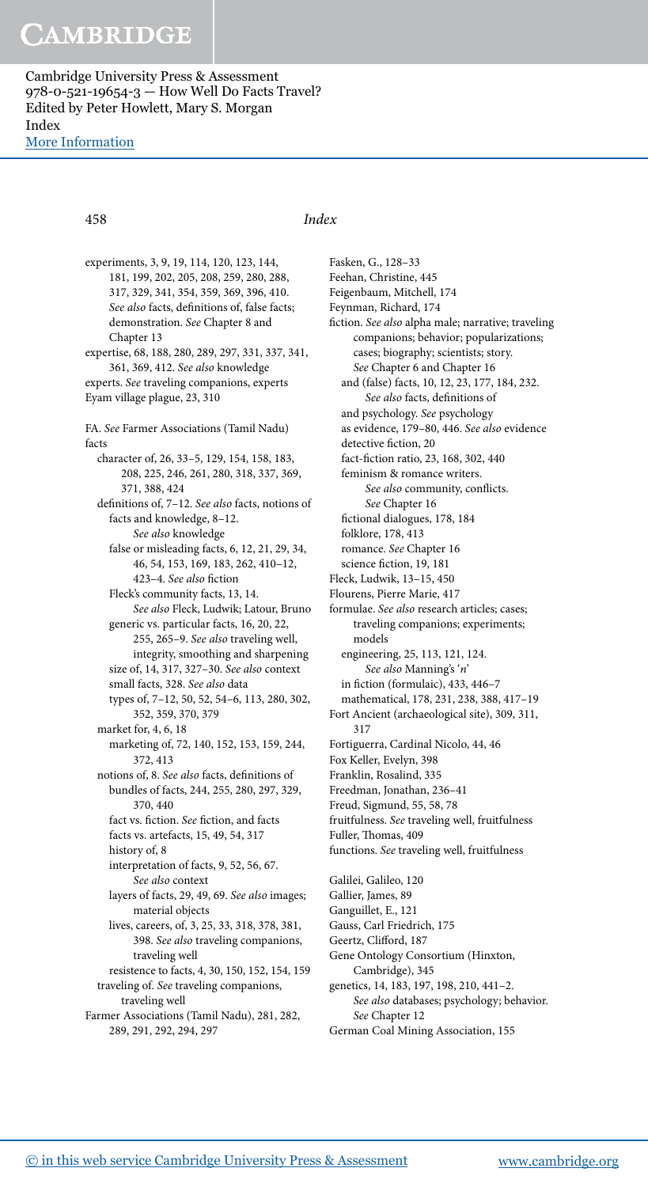#### 458 Index

experiments, 3, 9, 19, 114, 120, 123, 144, 181, 199, 202, 205, 208, 259, 280, 288, 317 , 329 , 341 , 354 , 359 , 369 , 396 , 410 . See also facts, definitions of, false facts; demonstration. See Chapter 8 and Chapter 13 expertise, 68, 188, 280, 289, 297, 331, 337, 341, 361, 369, 412. See also knowledge experts. See traveling companions, experts Eyam village plague, 23 , 310 FA. See Farmer Associations (Tamil Nadu) facts character of, 26, 33-5, 129, 154, 158, 183, 208 , 225 , 246 , 261 , 280 , 318 , 337 , 369 , 371 , 388 , 424 definitions of, 7-12. See also facts, notions of facts and knowledge, 8-12. See also knowledge false or misleading facts, 6, 12, 21, 29, 34, 46 , 54 , 153 , 169 , 183 , 262 , 410–12 , 423-4. See also fiction Fleck's community facts, 13, 14. See also Fleck, Ludwik; Latour, Bruno generic vs. particular facts, 16, 20, 22, 255 , 265–9 . See also traveling well, integrity, smoothing and sharpening size of, 14, 317, 327-30. See also context small facts, 328 . See also data types of, 7-12, 50, 52, 54-6, 113, 280, 302, 352, 359, 370, 379 market for, 4, 6, 18 marketing of, 72, 140, 152, 153, 159, 244, 372 , 413 notions of, 8. See also facts, definitions of bundles of facts, 244, 255, 280, 297, 329, 370 440 fact vs. fiction. See fiction, and facts facts vs. artefacts, 15 , 49 , 54 , 317 history of, 8 interpretation of facts, 9, 52, 56, 67. See also context layers of facts, 29, 49, 69. See also images; material objects lives, careers, of, 3, 25, 33, 318, 378, 381, 398 . See also traveling companions, traveling well resistence to facts, 4, 30, 150, 152, 154, 159 traveling of. See traveling companions, traveling well Farmer Associations (Tamil Nadu), 281, 282, 289 , 291 , 292 , 294 , 297

 Fasken, G., 128–33 Feehan, Christine, 445 Feigenbaum, Mitchell, 174 Feynman, Richard, 174 fiction. See also alpha male; narrative; traveling companions; behavior; popularizations; cases; biography; scientists; story. See Chapter 6 and Chapter 16 and (false) facts, 10, 12, 23, 177, 184, 232. See also facts, definitions of and psychology. See psychology as evidence, 179-80, 446. See also evidence detective fiction, 20 fact-fiction ratio, 23, 168, 302, 440 feminism & romance writers. See also community, conflicts. See Chapter 16 fictional dialogues, 178, 184 folklore, 178, 413 romance. See Chapter 16 science fiction, 19, 181 Fleck, Ludwik, 13–15 , 450 Flourens, Pierre Marie, 417 formulae. See also research articles; cases; traveling companions; experiments; models engineering, 25, 113, 121, 124. See also Manning's 'n' in fiction (formulaic), 433, 446-7 mathematical, 178, 231, 238, 388, 417-19 Fort Ancient (archaeological site), 309, 311, 317 Fortiguerra, Cardinal Nicolo, 44 , 46 Fox Keller, Evelyn, 398 Franklin, Rosalind, 335 Freedman, Jonathan, 236–41 Freud, Sigmund, 55 , 58 , 78 fruitfulness. See traveling well, fruitfulness Fuller, Thomas, 409 functions. See traveling well, fruitfulness Galilei, Galileo, 120 Gallier, James, 89 Ganguillet, E., 121 Gauss, Carl Friedrich, 175 Geertz, Clifford, 187 Gene Ontology Consortium (Hinxton, Cambridge), 345 genetics, 14, 183, 197, 198, 210, 441-2. See also databases; psychology; behavior.

See Chapter 12 German Coal Mining Association, 155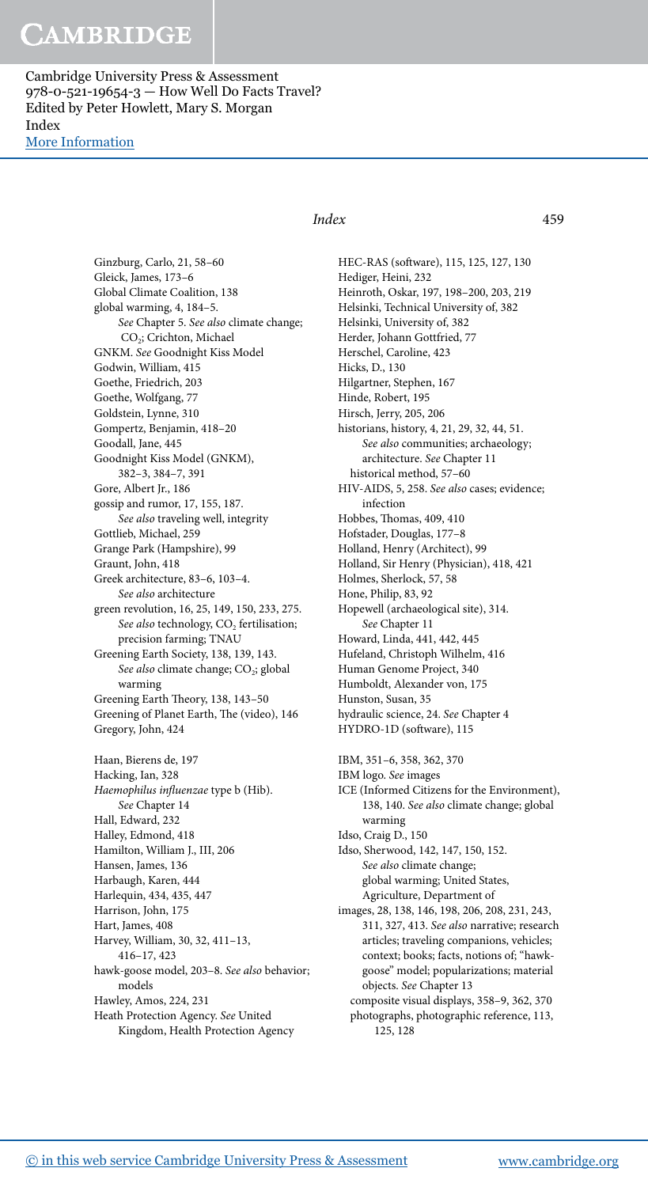Cambridge University Press & Assessment 978-0-521-19654-3 — How Well Do Facts Travel? Edited by Peter Howlett, Mary S. Morgan Index [More Information](www.cambridge.org/9780521196543)

### Index 459

Ginzburg, Carlo, 21, 58-60 Gleick, James, 173–6 Global Climate Coalition, 138 global warming, 4, 184-5. See Chapter 5. See also climate change; CO<sub>2</sub>; Crichton, Michael GNKM. See Goodnight Kiss Model Godwin, William, 415 Goethe, Friedrich, 203 Goethe, Wolfgang, 77 Goldstein, Lynne, 310 Gompertz, Benjamin, 418–20 Goodall, Jane, 445 Goodnight Kiss Model (GNKM), 382–3 , 384–7 , 391 Gore, Albert Jr., 186 gossip and rumor, 17, 155, 187. See also traveling well, integrity Gottlieb, Michael, 259 Grange Park (Hampshire), 99 Graunt, John, 418 Greek architecture, 83-6, 103-4. See also architecture green revolution, 16, 25, 149, 150, 233, 275. See also technology, CO<sub>2</sub> fertilisation; precision farming; TNAU Greening Earth Society, 138, 139, 143. See also climate change; CO<sub>2</sub>; global warming Greening Earth Theory, 138, 143-50 Greening of Planet Earth, The (video), 146 Gregory, John, 424 Haan, Bierens de, 197 Hacking, Ian, 328 Haemophilus influenzae type b (Hib). See Chapter 14 Hall, Edward, 232 Halley, Edmond, 418 Hamilton, William J., III, 206 Hansen, James, 136 Harbaugh, Karen, 444 Harlequin, 434, 435, 447 Harrison, John, 175 Hart, James, 408 Harvey, William, 30, 32, 411-13, 416–17 , 423 hawk-goose model, 203-8. See also behavior; models Hawley, Amos, 224, 231 Heath Protection Agency. See United Kingdom, Health Protection Agency

HEC-RAS (software), 115, 125, 127, 130 Hediger, Heini, 232 Heinroth, Oskar, 197, 198-200, 203, 219 Helsinki, Technical University of, 382 Helsinki, University of, 382 Herder, Johann Gottfried, 77 Herschel, Caroline, 423 Hicks, D., 130 Hilgartner, Stephen, 167 Hinde, Robert, 195 Hirsch, Jerry, 205 , 206 historians, history, 4, 21, 29, 32, 44, 51. See also communities; archaeology; architecture. See Chapter 11 historical method, 57–60 HIV-AIDS, 5, 258. See also cases; evidence; infection Hobbes, Thomas, 409, 410 Hofstader, Douglas, 177–8 Holland, Henry (Architect), 99 Holland, Sir Henry (Physician), 418, 421 Holmes, Sherlock, 57 , 58 Hone, Philip, 83, 92 Hopewell (archaeological site), 314 . See Chapter 11 Howard, Linda, 441, 442, 445 Hufeland, Christoph Wilhelm, 416 Human Genome Project, 340 Humboldt, Alexander von, 175 Hunston, Susan, 35 hydraulic science, 24. See Chapter 4 HYDRO-1D (software), 115 IBM, 351-6, 358, 362, 370 IBM logo. See images ICE (Informed Citizens for the Environment), 138, 140. See also climate change; global warming Idso, Craig D., 150 Idso, Sherwood, 142, 147, 150, 152. See also climate change; global warming; United States, Agriculture, Department of images, 28, 138, 146, 198, 206, 208, 231, 243, 311, 327, 413. See also narrative; research articles; traveling companions, vehicles; context; books; facts, notions of; "hawkgoose" model; popularizations; material objects. See Chapter 13 composite visual displays, 358-9, 362, 370 photographs, photographic reference, 113, 125 , 128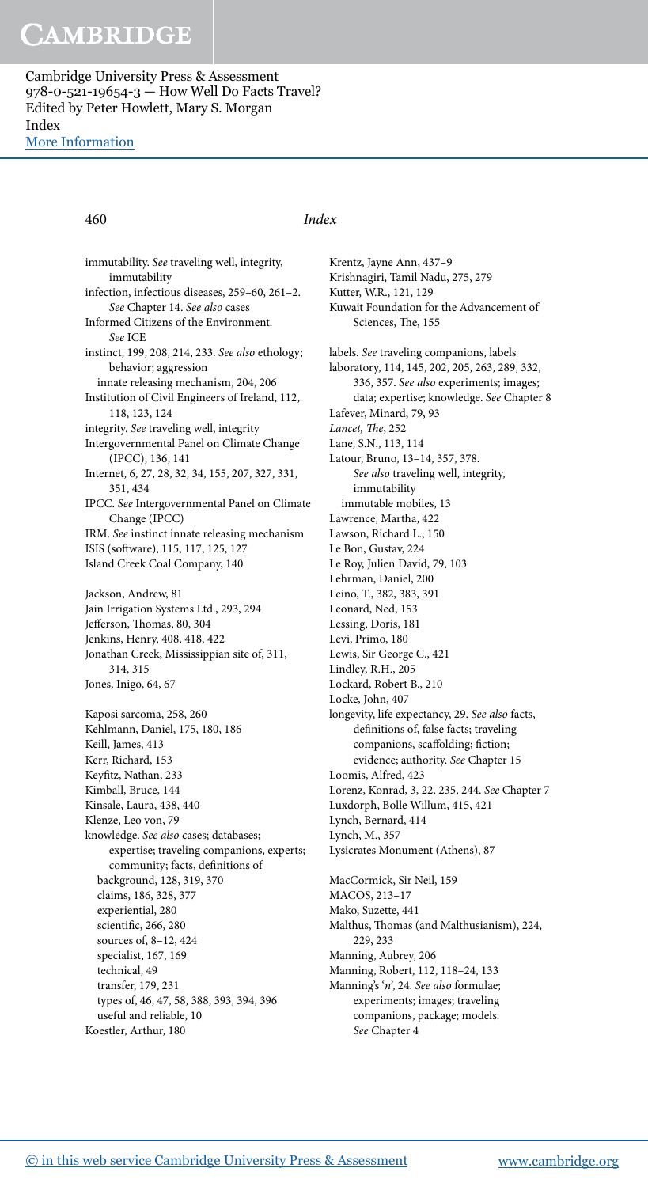#### 460 Index

 immutability. See traveling well, integrity, immutability infection, infectious diseases, 259-60, 261-2. See Chapter 14. See also cases Informed Citizens of the Environment. See ICE instinct, 199, 208, 214, 233. See also ethology; behavior; aggression innate releasing mechanism, 204, 206 Institution of Civil Engineers of Ireland, 112, 118, 123, 124 integrity. See traveling well, integrity Intergovernmental Panel on Climate Change (IPCC), 136 , 141 Internet, 6, 27, 28, 32, 34, 155, 207, 327, 331, 351 , 434 IPCC. See Intergovernmental Panel on Climate Change (IPCC) IRM. See instinct innate releasing mechanism ISIS (software), 115, 117, 125, 127 Island Creek Coal Company, 140 Jackson, Andrew, 81 Jain Irrigation Systems Ltd., 293, 294 Jefferson, Thomas, 80, 304 Jenkins, Henry, 408 , 418 , 422 Jonathan Creek, Mississippian site of, 311 , 314 , 315 Jones, Inigo, 64, 67 Kaposi sarcoma, 258, 260 Kehlmann, Daniel, 175, 180, 186 Keill, James, 413 Kerr, Richard, 153 Keyfitz, Nathan, 233 Kimball, Bruce, 144 Kinsale, Laura, 438 , 440 Klenze, Leo von, 79 knowledge. See also cases; databases; expertise; traveling companions, experts; community; facts, definitions of background, 128 , 319 , 370 claims, 186, 328, 377 experiential, 280 scientific, 266, 280 sources of, 8-12, 424 specialist, 167, 169 technical, 49 transfer, 179, 231 types of, 46 , 47 , 58 , 388 , 393 , 394 , 396 useful and reliable, 10 Koestler, Arthur, 180

 Krentz, Jayne Ann, 437–9 Krishnagiri, Tamil Nadu, 275, 279 Kutter, W.R., 121, 129 Kuwait Foundation for the Advancement of Sciences, The, 155 labels. See traveling companions, labels laboratory, 114, 145, 202, 205, 263, 289, 332, 336, 357. See also experiments; images; data; expertise; knowledge. See Chapter 8 Lafever, Minard, 79, 93 Lancet, The, 252 Lane, S.N., 113, 114 Latour, Bruno, 13-14, 357, 378. See also traveling well, integrity, immutability immutable mobiles, 13 Lawrence, Martha, 422 Lawson, Richard L., 150 Le Bon, Gustav, 224 Le Roy, Julien David, 79, 103 Lehrman, Daniel, 200 Leino, T., 382, 383, 391 Leonard, Ned, 153 Lessing, Doris, 181 Levi, Primo, 180 Lewis, Sir George C., 421 Lindley, R.H., 205 Lockard, Robert B., 210 Locke, John, 407 longevity, life expectancy, 29 . See also facts, definitions of, false facts; traveling companions, scaffolding; fiction; evidence; authority. See Chapter 15 Loomis, Alfred, 423 Lorenz, Konrad, 3, 22, 235, 244. See Chapter 7 Luxdorph, Bolle Willum, 415, 421 Lynch, Bernard, 414 Lynch, M., 357 Lysicrates Monument (Athens), 87 MacCormick, Sir Neil, 159 MACOS, 213–17 Mako, Suzette, 441 Malthus, Thomas (and Malthusianism), 224, 229 , 233 Manning, Aubrey, 206 Manning, Robert, 112, 118-24, 133 Manning's 'n', 24. See also formulae; experiments; images; traveling companions, package; models.

See Chapter 4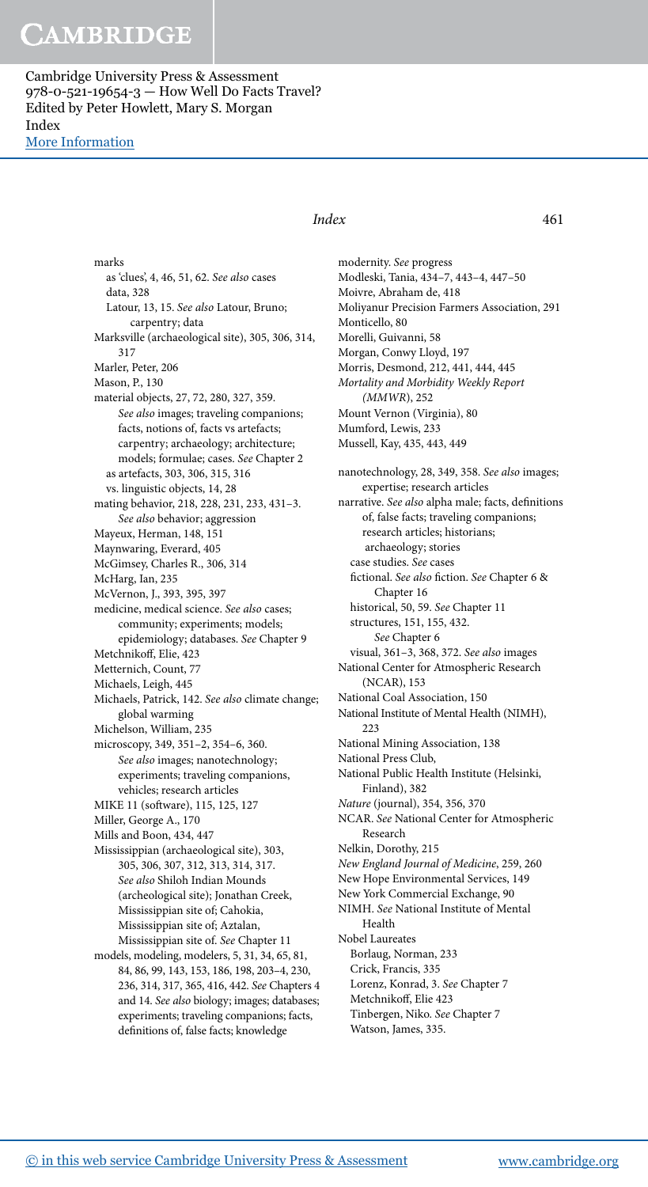> marks as 'clues', 4 , 46 , 51 , 62 . See also cases data, 328 Latour, 13, 15. See also Latour, Bruno; carpentry; data Marksville (archaeological site), 305, 306, 314, 317 Marler, Peter, 206 Mason, P., 130 material objects, 27, 72, 280, 327, 359. See also images; traveling companions; facts, notions of, facts vs artefacts; carpentry; archaeology; architecture; models; formulae; cases. See Chapter 2 as artefacts, 303 , 306 , 315 , 316 vs. linguistic objects, 14, 28 mating behavior, 218 , 228 , 231 , 233 , 431–3 . See also behavior; aggression Mayeux, Herman, 148, 151 Maynwaring, Everard, 405 McGimsey, Charles R., 306, 314 McHarg, Ian, 235 McVernon, J., 393, 395, 397 medicine, medical science. See also cases; community; experiments; models; epidemiology; databases. See Chapter 9 Metchnikoff, Elie, 423 Metternich, Count, 77 Michaels, Leigh, 445 Michaels, Patrick, 142. See also climate change; global warming Michelson, William, 235 microscopy, 349, 351-2, 354-6, 360. See also images; nanotechnology; experiments; traveling companions, vehicles; research articles MIKE 11 (software), 115, 125, 127 Miller, George A., 170 Mills and Boon, 434, 447 Mississippian (archaeological site), 303 , 305 , 306 , 307 , 312 , 313 , 314 , 317 . See also Shiloh Indian Mounds (archeological site); Jonathan Creek, Mississippian site of; Cahokia, Mississippian site of; Aztalan, Mississippian site of. See Chapter 11 models, modeling, modelers, 5, 31, 34, 65, 81, 84, 86, 99, 143, 153, 186, 198, 203-4, 230, 236 , 314 , 317 , 365 , 416 , 442 . See Chapters 4 and 14. See also biology; images; databases; experiments; traveling companions; facts,

### Index 461

 modernity. See progress Modleski, Tania, 434–7 , 443–4 , 447–50 Moivre, Abraham de, 418 Moliyanur Precision Farmers Association, 291 Monticello, 80 Morelli, Guivanni, 58 Morgan, Conwy Lloyd, 197 Morris, Desmond, 212, 441, 444, 445 Mortality and Morbidity Weekly Report  $(MMWR)$ , 252 Mount Vernon (Virginia), 80 Mumford, Lewis, 233 Mussell, Kay, 435 , 443 , 449 nanotechnology, 28, 349, 358. See also images; expertise; research articles narrative. See also alpha male; facts, definitions of, false facts; traveling companions; research articles; historians; archaeology; stories case studies. See cases fictional. See also fiction. See Chapter 6 & Chapter 16 historical, 50, 59. See Chapter 11 structures, 151, 155, 432. See Chapter 6 visual, 361-3, 368, 372. See also images National Center for Atmospheric Research (NCAR), 153 National Coal Association, 150 National Institute of Mental Health (NIMH), 223 National Mining Association, 138 National Press Club, National Public Health Institute (Helsinki, Finland), 382 Nature (journal), 354, 356, 370 NCAR. See National Center for Atmospheric Research Nelkin, Dorothy, 215 New England Journal of Medicine, 259, 260 New Hope Environmental Services, 149 New York Commercial Exchange, 90 NIMH. See National Institute of Mental Health Nobel Laureates Borlaug, Norman, 233 Crick, Francis, 335 Lorenz, Konrad, 3. See Chapter 7 Metchnikoff, Elie 423 Tinbergen, Niko. See Chapter 7 Watson, James, 335.

definitions of, false facts; knowledge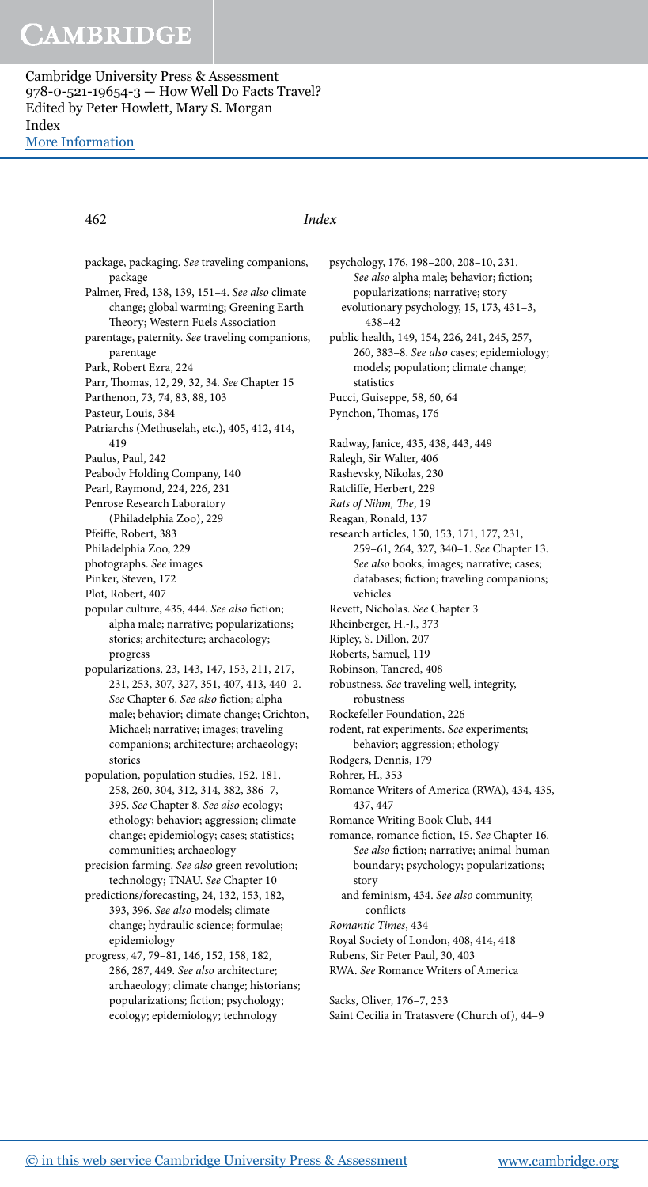#### 462 Index

 package, packaging. See traveling companions, package Palmer, Fred, 138, 139, 151-4. See also climate change; global warming; Greening Earth Theory; Western Fuels Association parentage, paternity. See traveling companions, parentage Park, Robert Ezra, 224 Parr, Thomas, 12, 29, 32, 34. See Chapter 15 Parthenon, 73, 74, 83, 88, 103 Pasteur, Louis, 384 Patriarchs (Methuselah, etc.), 405, 412, 414, 419 Paulus, Paul, 242 Peabody Holding Company, 140 Pearl, Raymond, 224, 226, 231 Penrose Research Laboratory (Philadelphia Zoo), 229 Pfeiffe, Robert, 383 Philadelphia Zoo, 229 photographs. See images Pinker, Steven, 172 Plot, Robert, 407 popular culture, 435, 444. See also fiction; alpha male; narrative; popularizations; stories; architecture; archaeology; progress popularizations, 23 , 143 , 147 , 153 , 211 , 217 , 231, 253, 307, 327, 351, 407, 413, 440-2. See Chapter 6. See also fiction; alpha male; behavior; climate change; Crichton, Michael; narrative; images; traveling companions; architecture; archaeology; stories population, population studies, 152, 181, 258 , 260 , 304 , 312 , 314 , 382 , 386–7 , 395. See Chapter 8. See also ecology; ethology; behavior; aggression; climate change; epidemiology; cases; statistics;

communities; archaeology precision farming. See also green revolution; technology; TNAU. See Chapter 10

predictions/forecasting, 24, 132, 153, 182, 393, 396. See also models; climate change; hydraulic science; formulae; epidemiology

progress, 47, 79-81, 146, 152, 158, 182, 286, 287, 449. See also architecture; archaeology; climate change; historians; popularizations; fiction; psychology; ecology; epidemiology; technology

psychology, 176, 198-200, 208-10, 231. See also alpha male; behavior; fiction; popularizations; narrative; story evolutionary psychology, 15, 173, 431-3, 438–42 public health, 149, 154, 226, 241, 245, 257, 260, 383-8. See also cases; epidemiology; models; population; climate change; statistics Pucci, Guiseppe, 58, 60, 64

Pynchon, Thomas, 176

- Radway, Janice, 435 , 438 , 443 , 449
- Ralegh, Sir Walter, 406
- Rashevsky, Nikolas, 230
- Ratcliffe, Herbert, 229
- Rats of Nihm, The, 19
- Reagan, Ronald, 137
- research articles, 150, 153, 171, 177, 231, 259-61, 264, 327, 340-1. See Chapter 13. See also books; images; narrative; cases; databases; fiction; traveling companions; vehicles
- Revett, Nicholas. See Chapter 3
- Rheinberger, H.-J., 373
- Ripley, S. Dillon, 207
- Roberts, Samuel, 119
- Robinson, Tancred, 408
- robustness. See traveling well, integrity, robustness
- Rockefeller Foundation, 226
- rodent, rat experiments. See experiments; behavior; aggression; ethology
- Rodgers, Dennis, 179
- Rohrer, H., 353
- Romance Writers of America (RWA), 434, 435, 437 447
- Romance Writing Book Club, 444
- romance, romance fiction, 15. See Chapter 16. See also fiction; narrative; animal-human boundary; psychology; popularizations; story
	- and feminism, 434 . See also community, conflicts
- Romantic Times, 434
- Royal Society of London, 408 , 414 , 418
- Rubens, Sir Peter Paul, 30, 403
- RWA. See Romance Writers of America

Sacks, Oliver, 176-7, 253 Saint Cecilia in Tratasvere (Church of), 44–9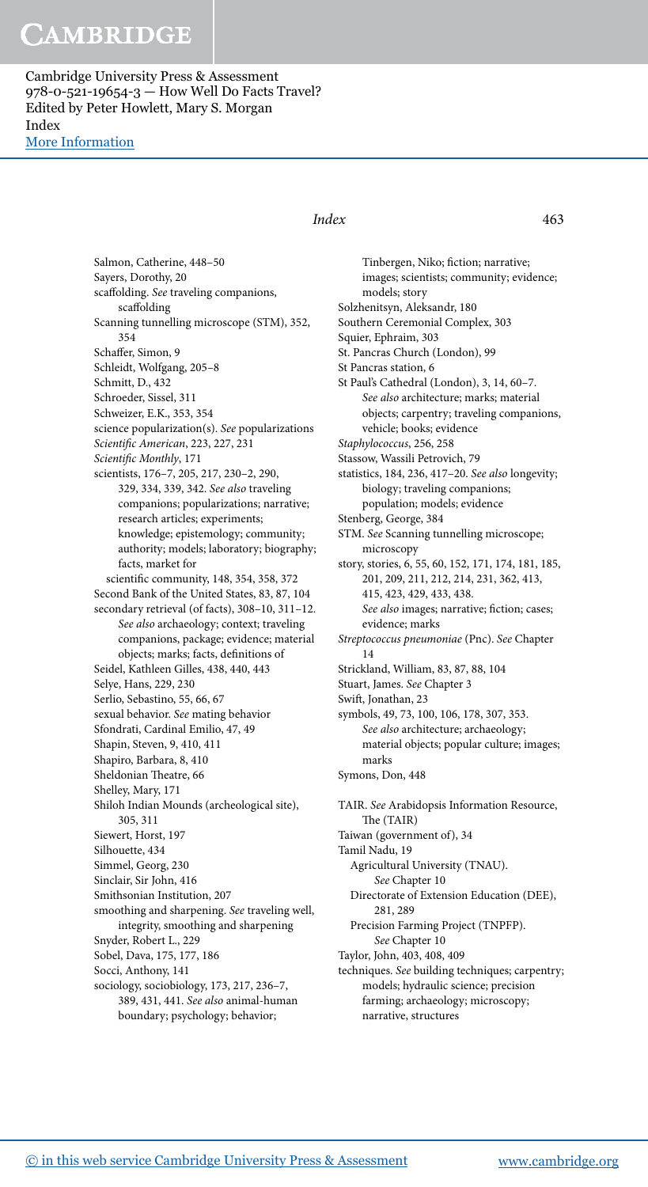Cambridge University Press & Assessment 978-0-521-19654-3 — How Well Do Facts Travel? Edited by Peter Howlett, Mary S. Morgan Index [More Information](www.cambridge.org/9780521196543)

### Salmon, Catherine, 448–50 Sayers, Dorothy, 20 scaffolding. See traveling companions, scaffolding Scanning tunnelling microscope (STM), 352, 354 Schaffer, Simon, 9 Schleidt, Wolfgang, 205–8 Schmitt, D., 432 Schroeder, Sissel, 311 Schweizer, E.K., 353 , 354 science popularization(s). See popularizations Scientific American, 223, 227, 231 Scientific Monthly, 171 scientists, 176-7, 205, 217, 230-2, 290, 329 , 334 , 339 , 342 . See also traveling companions; popularizations; narrative; research articles; experiments; knowledge; epistemology; community; authority; models; laboratory; biography; facts, market for scientific community, 148, 354, 358, 372 Second Bank of the United States, 83 , 87 , 104 secondary retrieval (of facts), 308-10, 311-12. See also archaeology; context; traveling companions, package; evidence; material objects; marks; facts, definitions of Seidel, Kathleen Gilles, 438, 440, 443 Selye, Hans, 229, 230 Serlio, Sebastino, 55, 66, 67 sexual behavior. See mating behavior Sfondrati, Cardinal Emilio, 47, 49 Shapin, Steven, 9, 410, 411 Shapiro, Barbara, 8, 410 Sheldonian Theatre, 66 Shelley, Mary, 171 Shiloh Indian Mounds (archeological site), 305 , 311 Siewert, Horst, 197 Silhouette, 434 Simmel, Georg, 230 Sinclair, Sir John, 416 Smithsonian Institution, 207 smoothing and sharpening. See traveling well, integrity, smoothing and sharpening Snyder, Robert L., 229 Sobel, Dava, 175, 177, 186 Socci, Anthony, 141 sociology, sociobiology, 173, 217, 236-7, 389, 431, 441. See also animal-human boundary; psychology; behavior;

### Index 463

Tinbergen, Niko; fiction; narrative; images; scientists; community; evidence; models; story Solzhenitsyn, Aleksandr, 180 Southern Ceremonial Complex, 303 Squier, Ephraim, 303 St. Pancras Church (London), 99 St Pancras station, 6 St Paul's Cathedral (London), 3, 14, 60-7. See also architecture; marks; material objects; carpentry; traveling companions, vehicle; books; evidence Staphylococcus, 256, 258 Stassow, Wassili Petrovich, 79 statistics, 184, 236, 417-20. See also longevity; biology; traveling companions; population; models; evidence Stenberg, George, 384 STM. See Scanning tunnelling microscope; microscopy story, stories, 6, 55, 60, 152, 171, 174, 181, 185, 201, 209, 211, 212, 214, 231, 362, 413, 415 , 423 , 429 , 433 , 438 . See also images; narrative; fiction; cases; evidence; marks Streptococcus pneumoniae (Pnc). See Chapter 14 Strickland, William, 83 , 87 , 88 , 104 Stuart, James. See Chapter 3 Swift, Jonathan, 23 symbols, 49, 73, 100, 106, 178, 307, 353. See also architecture; archaeology; material objects; popular culture; images; marks Symons, Don, 448 TAIR. See Arabidopsis Information Resource, The (TAIR) Taiwan (government of), 34 Tamil Nadu, 19 Agricultural University (TNAU). See Chapter 10 Directorate of Extension Education (DEE), 281, 289 Precision Farming Project (TNPFP). See Chapter 10 Taylor, John, 403 , 408 , 409 techniques. See building techniques; carpentry;

models; hydraulic science; precision farming; archaeology; microscopy; narrative, structures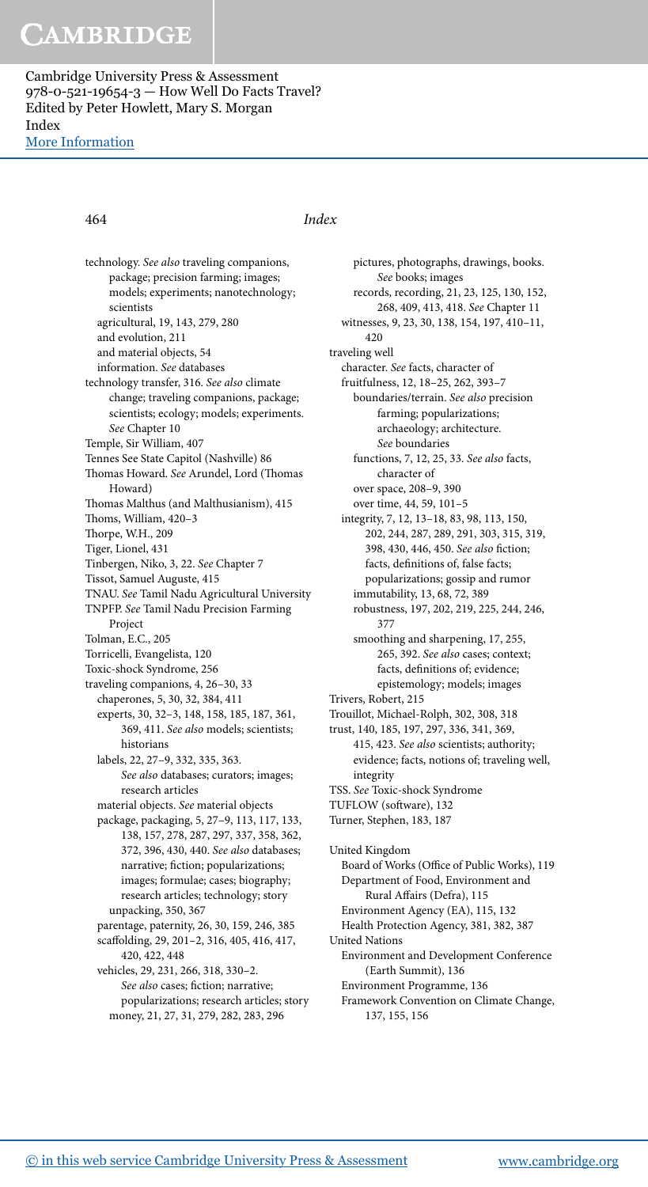### 464 Index

 technology. See also traveling companions, package; precision farming; images; models; experiments; nanotechnology; scientists agricultural, 19, 143, 279, 280 and evolution, 211 and material objects, 54 information. See databases technology transfer, 316. See also climate change; traveling companions, package; scientists; ecology; models; experiments. See Chapter 10 Temple, Sir William, 407 Tennes See State Capitol (Nashville) 86 Thomas Howard. See Arundel, Lord (Thomas Howard) Thomas Malthus (and Malthusianism), 415 Thoms, William, 420-3 Thorpe, W.H., 209 Tiger, Lionel, 431 Tinbergen, Niko, 3, 22. See Chapter 7 Tissot, Samuel Auguste, 415 TNAU. See Tamil Nadu Agricultural University TNPFP. See Tamil Nadu Precision Farming Project Tolman, E.C., 205 Torricelli, Evangelista, 120 Toxic-shock Syndrome, 256 traveling companions, 4, 26-30, 33 chaperones, 5, 30, 32, 384, 411 experts, 30, 32-3, 148, 158, 185, 187, 361, 369, 411. See also models; scientists; historians labels, 22, 27-9, 332, 335, 363. See also databases; curators; images; research articles material objects. See material objects package, packaging, 5, 27-9, 113, 117, 133, 138, 157, 278, 287, 297, 337, 358, 362, 372, 396, 430, 440. See also databases; narrative; fiction; popularizations; images; formulae; cases; biography; research articles; technology; story unpacking, 350, 367 parentage, paternity, 26, 30, 159, 246, 385 scaffolding, 29, 201-2, 316, 405, 416, 417, 420 , 422 , 448 vehicles, 29, 231, 266, 318, 330-2. See also cases; fiction; narrative; popularizations; research articles; story money, 21, 27, 31, 279, 282, 283, 296

 pictures, photographs, drawings, books. See books; images records, recording, 21, 23, 125, 130, 152, 268 , 409 , 413 , 418 . See Chapter 11 witnesses, 9, 23, 30, 138, 154, 197, 410-11, 420 traveling well character. See facts, character of fruitfulness, 12 , 18–25 , 262 , 393–7 boundaries/terrain. See also precision farming; popularizations; archaeology; architecture. See boundaries functions, 7, 12, 25, 33. See also facts, character of over space, 208-9, 390 over time, 44, 59, 101-5 integrity, 7, 12, 13-18, 83, 98, 113, 150, 202 , 244 , 287 , 289 , 291 , 303 , 315 , 319 , 398, 430, 446, 450. See also fiction; facts, definitions of, false facts; popularizations; gossip and rumor immutability, 13, 68, 72, 389 robustness, 197, 202, 219, 225, 244, 246, 377 smoothing and sharpening, 17, 255, 265, 392. See also cases; context; facts, definitions of; evidence; epistemology; models; images Trivers, Robert, 215 Trouillot, Michael-Rolph, 302, 308, 318 trust, 140, 185, 197, 297, 336, 341, 369, 415, 423. See also scientists; authority; evidence; facts, notions of; traveling well, integrity TSS. See Toxic-shock Syndrome TUFLOW (software), 132 Turner, Stephen, 183, 187 United Kingdom Board of Works (Office of Public Works), 119 Department of Food, Environment and Rural Affairs (Defra), 115 Environment Agency (EA), 115, 132 Health Protection Agency, 381, 382, 387 United Nations Environment and Development Conference (Earth Summit), 136 Environment Programme, 136 Framework Convention on Climate Change, 137, 155, 156